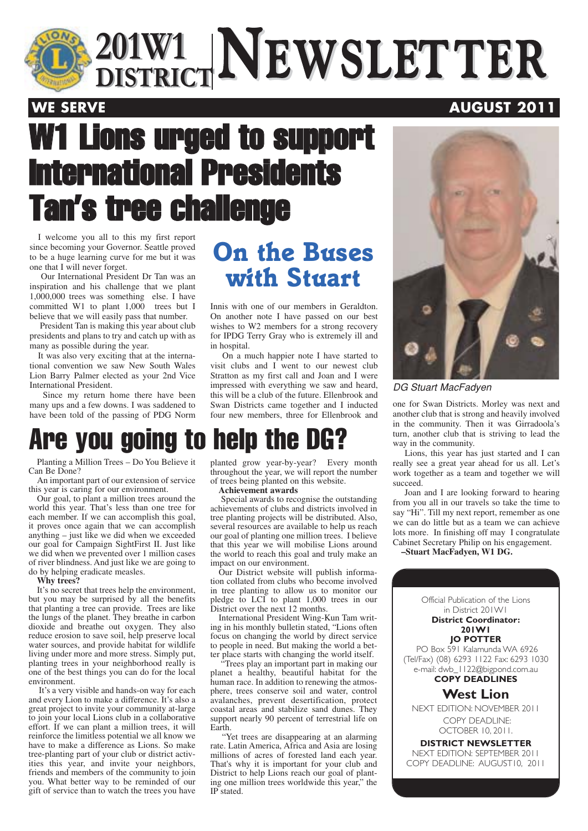

 $\frac{201 \text{W1}}{\text{DISTRICT}}$ **NEWSLETTER 201W1 DISTRICTNEWSLETTER**

### **WE SERVE AUGUST 2011**

# W1 Lions urged to support International Presidents Tan's tree challenge

I welcome you all to this my first report since becoming your Governor. Seattle proved to be a huge learning curve for me but it was one that I will never forget.

Our International President Dr Tan was an inspiration and his challenge that we plant 1,000,000 trees was something else. I have committed W1 to plant 1,000 trees but I believe that we will easily pass that number.

President Tan is making this year about club presidents and plans to try and catch up with as many as possible during the year.

It was also very exciting that at the international convention we saw New South Wales Lion Barry Palmer elected as your 2nd Vice International President.

Since my return home there have been many ups and a few downs. I was saddened to have been told of the passing of PDG Norm

## *On the Buses with Stuart*

Innis with one of our members in Geraldton. On another note I have passed on our best wishes to W2 members for a strong recovery for IPDG Terry Gray who is extremely ill and in hospital.

On a much happier note I have started to visit clubs and I went to our newest club Stratton as my first call and Joan and I were impressed with everything we saw and heard, this will be a club of the future. Ellenbrook and Swan Districts came together and I inducted four new members, three for Ellenbrook and



### DG Stuart MacFadyen

one for Swan Districts. Morley was next and another club that is strong and heavily involved in the community. Then it was Girradoola's turn, another club that is striving to lead the way in the community.

Lions, this year has just started and I can really see a great year ahead for us all. Let's work together as a team and together we will succeed.

Joan and I are looking forward to hearing from you all in our travels so take the time to say "Hi". Till my next report, remember as one we can do little but as a team we can achieve lots more. In finishing off may I congratulate Cabinet Secretary Philip on his engagement.

**–Stuart MacFadyen, W1 DG.**

### Official Publication of the Lions in District 201W1 **District Coordinator: 201W1 JO POTTER** PO Box 591 Kalamunda WA 6926 (Tel/Fax) (08) 6293 1122 Fax: 6293 1030 e-mail: dwb\_1122@bigpond.com.au **COPY DEADLINES West Lion** NEXT EDITION: NOVEMBER 2011 COPY DEADLINE: OCTOBER 10, 2011. **DISTRICT NEWSLETTER**

NEXT EDITION: SEPTEMBER 2011 COPY DEADLINE: AUGUST10, 2011

## Are you going to help the DG?

Planting a Million Trees – Do You Believe it Can Be Done?

An important part of our extension of service this year is caring for our environment.

Our goal, to plant a million trees around the world this year. That's less than one tree for each member. If we can accomplish this goal, it proves once again that we can accomplish anything – just like we did when we exceeded our goal for Campaign SightFirst II. Just like we did when we prevented over 1 million cases of river blindness. And just like we are going to do by helping eradicate measles.

**Why trees?**

It's no secret that trees help the environment, but you may be surprised by all the benefits that planting a tree can provide. Trees are like the lungs of the planet. They breathe in carbon dioxide and breathe out oxygen. They also reduce erosion to save soil, help preserve local water sources, and provide habitat for wildlife living under more and more stress. Simply put, planting trees in your neighborhood really is one of the best things you can do for the local environment.

It's a very visible and hands-on way for each and every Lion to make a difference. It's also a great project to invite your community at-large to join your local Lions club in a collaborative effort. If we can plant a million trees, it will reinforce the limitless potential we all know we have to make a difference as Lions. So make tree-planting part of your club or district activities this year, and invite your neighbors, friends and members of the community to join you. What better way to be reminded of our gift of service than to watch the trees you have

planted grow year-by-year? Every month throughout the year, we will report the number of trees being planted on this website.

#### **Achievement awards**

Special awards to recognise the outstanding achievements of clubs and districts involved in tree planting projects will be distributed. Also, several resources are available to help us reach our goal of planting one million trees. I believe that this year we will mobilise Lions around the world to reach this goal and truly make an impact on our environment.

Our District website will publish information collated from clubs who become involved in tree planting to allow us to monitor our pledge to LCI to plant 1,000 trees in our District over the next 12 months.

International President Wing-Kun Tam writing in his monthly bulletin stated, "Lions often focus on changing the world by direct service to people in need. But making the world a better place starts with changing the world itself.

"Trees play an important part in making our planet a healthy, beautiful habitat for the human race. In addition to renewing the atmosphere, trees conserve soil and water, control avalanches, prevent desertification, protect coastal areas and stabilize sand dunes. They support nearly 90 percent of terrestrial life on Earth.

"Yet trees are disappearing at an alarming rate. Latin America, Africa and Asia are losing millions of acres of forested land each year. That's why it is important for your club and District to help Lions reach our goal of planting one million trees worldwide this year," the IP stated.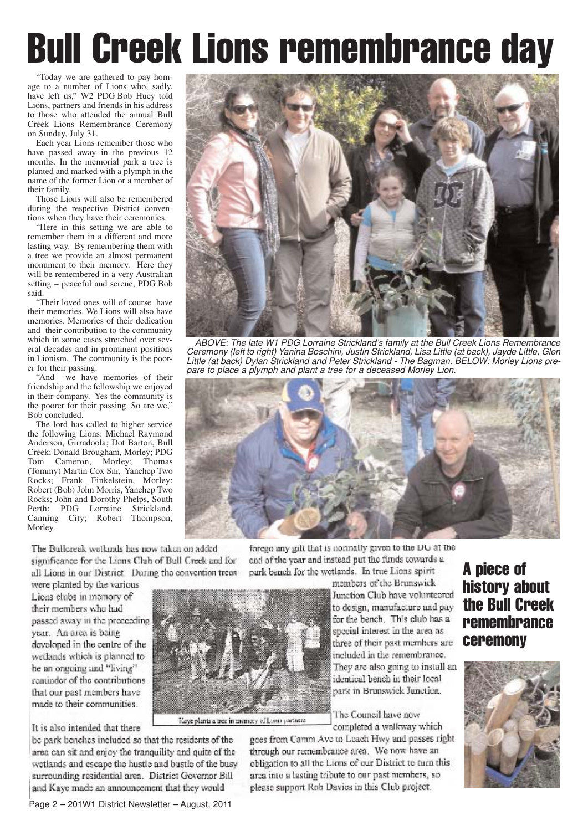# Bull Creek Lions remembrance day

"Today we are gathered to pay homage to a number of Lions who, sadly, have left us," W2 PDG Bob Huey told Lions, partners and friends in his address to those who attended the annual Bull Creek Lions Remembrance Ceremony on Sunday, July 31.

Each year Lions remember those who have passed away in the previous 12 months. In the memorial park a tree is planted and marked with a plymph in the name of the former Lion or a member of their family.

Those Lions will also be remembered during the respective District conventions when they have their ceremonies.

"Here in this setting we are able to remember them in a different and more lasting way. By remembering them with a tree we provide an almost permanent monument to their memory. Here they will be remembered in a very Australian setting – peaceful and serene, PDG Bob said.

"Their loved ones will of course have their memories. We Lions will also have memories. Memories of their dedication and their contribution to the community which in some cases stretched over several decades and in prominent positions in Lionism. The community is the poorer for their passing.

"And we have memories of their friendship and the fellowship we enjoyed in their company. Yes the community is the poorer for their passing. So are we," Bob concluded.

The lord has called to higher service the following Lions: Michael Raymond Anderson, Girradoola; Dot Barton, Bull Creek; Donald Brougham, Morley; PDG Tom Cameron, Morley; Thomas (Tommy) Martin Cox Snr, Yanchep Two Rocks; Frank Finkelstein, Morley; Robert (Bob) John Morris, Yanchep Two Rocks; John and Dorothy Phelps, South Perth; PDG Lorraine Strickland, Canning City; Robert Thompson, Morley.

The Bullcreak waikinds has now taken on added significance for the Linns Club of Bull Creek and for all Lions in our District. During the convention trees

were planted by the various Lions clubs in mamory of their members who had passed away in the preceeding year. An area is being developed in the centre of the wetlands which is planned to he an ongoing and "living" reminder of the contributions that our past members have made to their communities.

It is also intended that there

be park benches included so that the residents of the area can sit and enjoy the tranquility and quite of the wetlands and escape the hustle and bustle of the busy surrounding residential area. District Governor Bill and Kaye made an announcement that they would



ABOVE: The late W1 PDG Lorraine Strickland's family at the Bull Creek Lions Remembrance Ceremony (left to right) Yanina Boschini, Justin Strickland, Lisa Little (at back), Jayde Little, Glen Little (at back) Dylan Strickland and Peter Strickland - The Bagman. BELOW: Morley Lions prepare to place a plymph and plant a tree for a deceased Morley Lion.



forego any gift that is normally given to the DU at the end of the year and instead put the funds towards a park bench for the wetlands. In true Lions spirit



Kaye plants a tree in memory of Long partners.

members of the Brunswick Junction Club have volunteered to design, manufacture and pay for the bench. This club has a special interest in the area as three of their past members are included in the remembrance. They are also going to install an identical bench in their local park in Brunswick Junction.

The Council have now

completed a walkway which goes from Camm Ave to Leach Hwy and passes right

through our remembrance area. We now have an obligation to all the Lions of our District to turn this arca into a lasting tribute to our past members, so please support Rob Davies in this Club project.

### A piece of history about the Bull Creek remembrance ceremony

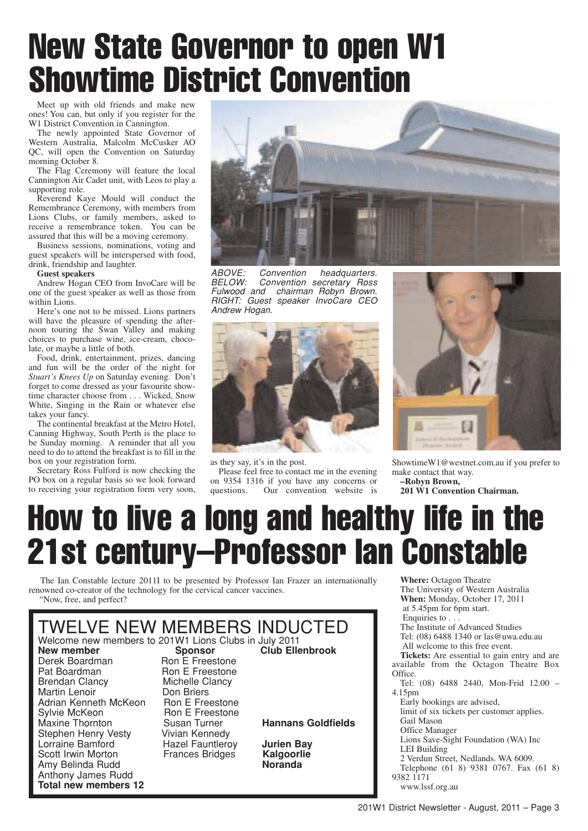# New State Governor to open W1 Showtime District Convention

Meet up with old friends and make new ones! You can, but only if you register for the W1 District Convention in Cannington.

The newly appointed State Governor of Western Australia, Malcolm McCusker AO QC, will open the Convention on Saturday morning October 8.

The Flag Ceremony will feature the local Cannington Air Cadet unit, with Leos to play a supporting role.

Reverend Kaye Mould will conduct the Remembrance Ceremony, with members from Lions Clubs, or family members, asked to receive a remembrance token. You can be assured that this will be a moving ceremony.

Business sessions, nominations, voting and guest speakers will be interspersed with food, drink, friendship and laughter.

### **Guest speakers**

Andrew Hogan CEO from InvoCare will be one of the guest speaker as well as those from within Lions.

Here's one not to be missed. Lions partners will have the pleasure of spending the afternoon touring the Swan Valley and making choices to purchase wine, ice-cream, chocolate, or maybe a little of both.

Food, drink, entertainment, prizes, dancing and fun will be the order of the night for *Stuart's Knees Up* on Saturday evening. Don't forget to come dressed as your favourite showtime character choose from . . . Wicked, Snow White, Singing in the Rain or whatever else takes your fancy.

The continental breakfast at the Metro Hotel, Canning Highway, South Perth is the place to be Sunday morning. A reminder that all you need to do to attend the breakfast is to fill in the box on your registration form.

Secretary Ross Fulford is now checking the PO box on a regular basis so we look forward to receiving your registration form very soon,



ABOVE: Convention headquarters. BELOW: Convention secretary Ross Fulwood and chairman Robyn Brown. RIGHT: Guest speaker InvoCare CEO Andrew Hogan.



as they say, it's in the post.

Please feel free to contact me in the evening on 9354 1316 if you have any concerns or Our convention website is



ShowtimeW1@westnet.com.au if you prefer to make contact that way.

**–Robyn Brown, 201 W1 Convention Chairman.**

# How to live a long and healthy life in the 21st century–Professor Ian Constable

The Ian Constable lecture 2011I to be presented by Professor Ian Frazer an internationally renowned co-creator of the technology for the cervical cancer vaccines. "Now, free, and perfect?



**Where:** Octagon Theatre The University of Western Australia **When:** Monday, October 17, 2011 at 5.45pm for 6pm start. Enquiries to . . . The Institute of Advanced Studies Tel: (08) 6488 1340 or las@uwa.edu.au All welcome to this free event. **Tickets:** Are essential to gain entry and are available from the Octagon Theatre Box Office. Tel: (08) 6488 2440, Mon-Frid 12.00 – 4.15pm Early bookings are advised, limit of six tickets per customer applies. Gail Mason Office Manager Lions Save-Sight Foundation (WA) Inc LEI Building 2 Verdun Street, Nedlands. WA 6009. Telephone (61 8) 9381 0767. Fax (61 8) 9382 1171 www.lssf.org.au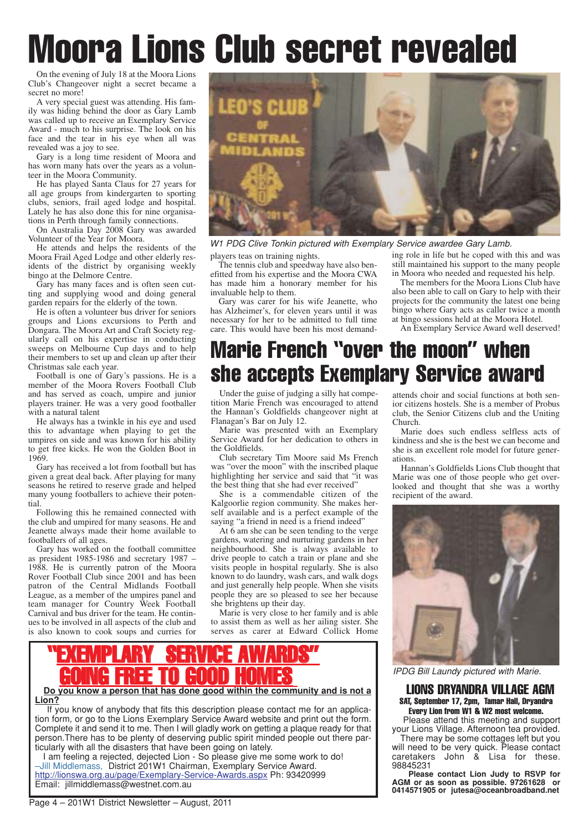# Moora Lions Club secret revealed

On the evening of July 18 at the Moora Lions Club's Changeover night a secret became a secret no more!

A very special guest was attending. His family was hiding behind the door as Gary Lamb was called up to receive an Exemplary Service Award - much to his surprise. The look on his face and the tear in his eye when all was revealed was a joy to see.

Gary is a long time resident of Moora and has worn many hats over the years as a volunteer in the Moora Community.

He has played Santa Claus for 27 years for all age groups from kindergarten to sporting clubs, seniors, frail aged lodge and hospital. Lately he has also done this for nine organisations in Perth through family connections.

On Australia Day 2008 Gary was awarded Volunteer of the Year for Moora.

He attends and helps the residents of the Moora Frail Aged Lodge and other elderly residents of the district by organising weekly bingo at the Delmore Centre.

Gary has many faces and is often seen cutting and supplying wood and doing general garden repairs for the elderly of the town.

He is often a volunteer bus driver for seniors groups and Lions excursions to Perth and Dongara. The Moora Art and Craft Society regularly call on his expertise in conducting sweeps on Melbourne Cup days and to help their members to set up and clean up after their Christmas sale each year.

Football is one of Gary's passions. He is a member of the Moora Rovers Football Club and has served as coach, umpire and junior players trainer. He was a very good footballer with a natural talent

He always has a twinkle in his eye and used this to advantage when playing to get the umpires on side and was known for his ability to get free kicks. He won the Golden Boot in 1969.

Gary has received a lot from football but has given a great deal back. After playing for many seasons he retired to reserve grade and helped many young footballers to achieve their potential

Following this he remained connected with the club and umpired for many seasons. He and Jeanette always made their home available to footballers of all ages.

Gary has worked on the football committee as president 1985-1986 and secretary 1987 – 1988. He is currently patron of the Moora Rover Football Club since 2001 and has been patron of the Central Midlands Football League, as a member of the umpires panel and team manager for Country Week Football Carnival and bus driver for the team. He continues to be involved in all aspects of the club and is also known to cook soups and curries for



players teas on training nights. W1 PDG Clive Tonkin pictured with Exemplary Service awardee Gary Lamb.

The tennis club and speedway have also benefitted from his expertise and the Moora CWA has made him a honorary member for his invaluable help to them.

Gary was carer for his wife Jeanette, who has Alzheimer's, for eleven years until it was necessary for her to be admitted to full time care. This would have been his most demanding role in life but he coped with this and was still maintained his support to the many people in Moora who needed and requested his help.

The members for the Moora Lions Club have also been able to call on Gary to help with their projects for the community the latest one being bingo where Gary acts as caller twice a month at bingo sessions held at the Moora Hotel.

An Exemplary Service Award well deserved!

## Marie French "over the moon" when she accepts Exemplary Service award

Under the guise of judging a silly hat competition Marie French was encouraged to attend the Hannan's Goldfields changeover night at Flanagan's Bar on July 12.

Marie was presented with an Exemplary Service Award for her dedication to others in the Goldfields.

Club secretary Tim Moore said Ms French was "over the moon" with the inscribed plaque highlighting her service and said that "it was the best thing that she had ever received"

She is a commendable citizen of the Kalgoorlie region community. She makes herself available and is a perfect example of the saying "a friend in need is a friend indeed"

At 6 am she can be seen tending to the verge gardens, watering and nurturing gardens in her neighbourhood. She is always available to drive people to catch a train or plane and she visits people in hospital regularly. She is also known to do laundry, wash cars, and walk dogs and just generally help people. When she visits people they are so pleased to see her because she brightens up their day.

Marie is very close to her family and is able to assist them as well as her ailing sister. She serves as carer at Edward Collick Home

## "EXEMPLARY SERVICE AWARDS" GOING FREE TO GOOD HOMES

**Do you know a person that has done good within the community and is not a Lion?**

If you know of anybody that fits this description please contact me for an application form, or go to the Lions Exemplary Service Award website and print out the form. Complete it and send it to me. Then I will gladly work on getting a plaque ready for that person.There has to be plenty of deserving public spirit minded people out there particularly with all the disasters that have been going on lately.

I am feeling a rejected, dejected Lion - So please give me some work to do! –Jill Middlemass, District 201W1 Chairman, Exemplary Service Award. http://lionswa.org.au/page/Exemplary-Service-Awards.aspx Ph: 93420999 Email: jillmiddlemass@westnet.com.au

attends choir and social functions at both senior citizens hostels. She is a member of Probus club, the Senior Citizens club and the Uniting Church.

Marie does such endless selfless acts of kindness and she is the best we can become and she is an excellent role model for future generations.

Hannan's Goldfields Lions Club thought that Marie was one of those people who get overlooked and thought that she was a worthy recipient of the award.



IPDG Bill Laundy pictured with Marie.

#### LIONS DRYANDRA VILLAGE AGM SAT, September 17, 2pm, Tamar Hall, Dryandra Every Lion from W1 & W2 most welcome.

Please attend this meeting and support your Lions Village. Afternoon tea provided. There may be some cottages left but you will need to be very quick. Please contact caretakers John & Lisa for these. 98845231

**Please contact Lion Judy to RSVP for AGM or as soon as possible. 97261628 or 0414571905 or jutesa@oceanbroadband.net**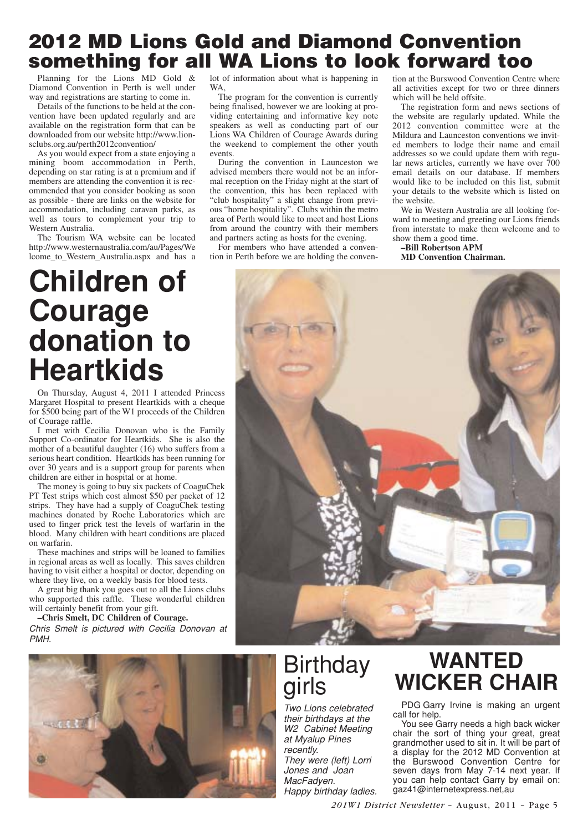### **2012 MD Lions Gold and Diamond Convention something for all WA Lions to look forward too**

Planning for the Lions MD Gold & Diamond Convention in Perth is well under way and registrations are starting to come in.

Details of the functions to be held at the convention have been updated regularly and are available on the registration form that can be downloaded from our website http://www.lionsclubs.org.au/perth2012convention/

As you would expect from a state enjoying a mining boom accommodation in Perth, depending on star rating is at a premium and if members are attending the convention it is recommended that you consider booking as soon as possible - there are links on the website for accommodation, including caravan parks, as well as tours to complement your trip to Western Australia.

The Tourism WA website can be located http://www.westernaustralia.com/au/Pages/We lcome\_to\_Western\_Australia.aspx and has a

## **Children of Courage donation to Heartkids**

On Thursday, August 4, 2011 I attended Princess Margaret Hospital to present Heartkids with a cheque for \$500 being part of the W1 proceeds of the Children of Courage raffle.

I met with Cecilia Donovan who is the Family Support Co-ordinator for Heartkids. She is also the mother of a beautiful daughter (16) who suffers from a serious heart condition. Heartkids has been running for over 30 years and is a support group for parents when children are either in hospital or at home.

The money is going to buy six packets of CoaguChek PT Test strips which cost almost \$50 per packet of 12 strips. They have had a supply of CoaguChek testing machines donated by Roche Laboratories which are used to finger prick test the levels of warfarin in the blood. Many children with heart conditions are placed on warfarin.

These machines and strips will be loaned to families in regional areas as well as locally. This saves children having to visit either a hospital or doctor, depending on where they live, on a weekly basis for blood tests.

A great big thank you goes out to all the Lions clubs who supported this raffle. These wonderful children will certainly benefit from your gift.

**–Chris Smelt, DC Children of Courage.**

Chris Smelt is pictured with Cecilia Donovan at PMH.



lot of information about what is happening in WA,

The program for the convention is currently being finalised, however we are looking at providing entertaining and informative key note speakers as well as conducting part of our Lions WA Children of Courage Awards during the weekend to complement the other youth events.

During the convention in Launceston we advised members there would not be an informal reception on the Friday night at the start of the convention, this has been replaced with "club hospitality" a slight change from previous "home hospitality". Clubs within the metro area of Perth would like to meet and host Lions from around the country with their members and partners acting as hosts for the evening.

For members who have attended a convention in Perth before we are holding the convention at the Burswood Convention Centre where all activities except for two or three dinners which will be held offsite.

The registration form and news sections of the website are regularly updated. While the 2012 convention committee were at the Mildura and Launceston conventions we invited members to lodge their name and email addresses so we could update them with regular news articles, currently we have over 700 email details on our database. If members would like to be included on this list, submit your details to the website which is listed on the website.

We in Western Australia are all looking forward to meeting and greeting our Lions friends from interstate to make them welcome and to show them a good time.

**–Bill Robertson APM MD Convention Chairman.**



# girls

Two Lions celebrated their birthdays at the W2 Cabinet Meeting at Myalup Pines recently.

They were (left) Lorri Jones and Joan MacFadyen. Happy birthday ladies.

## **WANTED Birthday WANTED**<br> **WICKER CHAIR**

PDG Garry Irvine is making an urgent call for help.

You see Garry needs a high back wicker chair the sort of thing your great, great grandmother used to sit in. It will be part of a display for the 2012 MD Convention at the Burswood Convention Centre for seven days from May 7-14 next year. If you can help contact Garry by email on: gaz41@internetexpress.net,au

*201W1 District Newsletter* – August, 2011 – Page 5